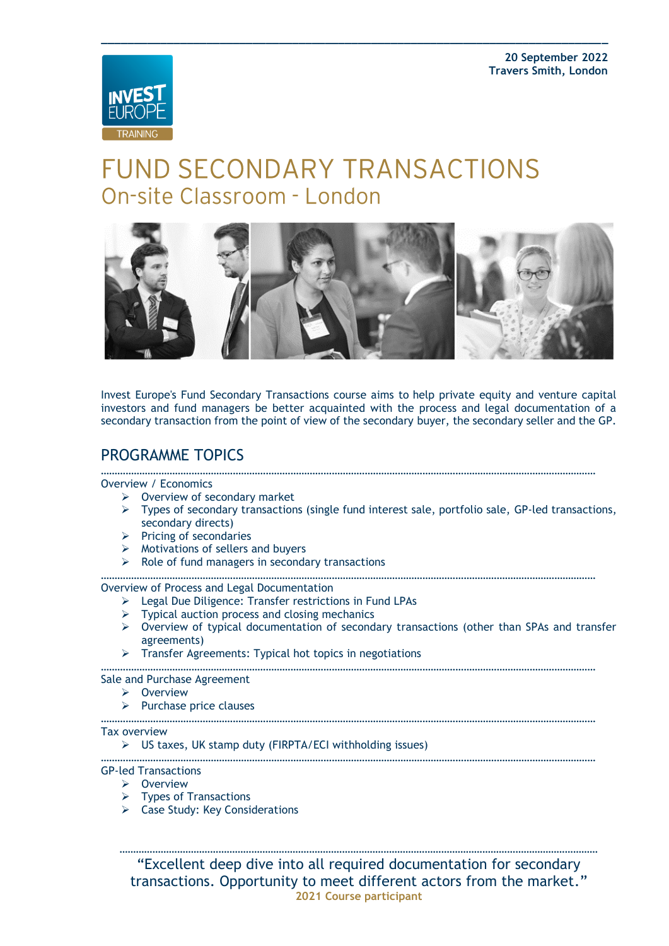

# **FUND SECONDARY TRANSACTIONS** On-site Classroom - London



**\_\_\_\_\_\_\_\_\_\_\_\_\_\_\_\_\_\_\_\_\_\_\_\_\_\_\_\_\_\_\_\_\_\_\_\_\_\_\_\_\_\_\_\_\_\_\_\_\_\_\_\_\_\_\_\_\_\_\_\_\_\_\_\_\_\_\_\_\_\_\_\_\_\_\_\_\_**

Invest Europe's Fund Secondary Transactions course aims to help private equity and venture capital investors and fund managers be better acquainted with the process and legal documentation of a secondary transaction from the point of view of the secondary buyer, the secondary seller and the GP.

## PROGRAMME TOPICS

#### ……………………………………………………………………………………………………………………………………………………………… Overview / Economics

- $\triangleright$  Overview of secondary market
- ➢ Types of secondary transactions (single fund interest sale, portfolio sale, GP-led transactions, secondary directs)
- ➢ Pricing of secondaries
- ➢ Motivations of sellers and buyers
- $\triangleright$  Role of fund managers in secondary transactions

………………………………………………………………………………………………………………………………………………………………

Overview of Process and Legal Documentation

- ➢ Legal Due Diligence: Transfer restrictions in Fund LPAs
- $\triangleright$  Typical auction process and closing mechanics
- ➢ Overview of typical documentation of secondary transactions (other than SPAs and transfer agreements)
- ➢ Transfer Agreements: Typical hot topics in negotiations

……………………………………………………………………………………………………………………………………………………………… Sale and Purchase Agreement

- ➢ Overview
- ➢ Purchase price clauses
- ………………………………………………………………………………………………………………………………………………………………

#### Tax overview

➢ US taxes, UK stamp duty (FIRPTA/ECI withholding issues)

………………………………………………………………………………………………………………………………………………………………

### GP-led Transactions

- ➢ Overview
- $\triangleright$  Types of Transactions
- ➢ Case Study: Key Considerations

………………………………………………………………………………………………………………………………………………………… "Excellent deep dive into all required documentation for secondary transactions. Opportunity to meet different actors from the market." **2021 Course participant**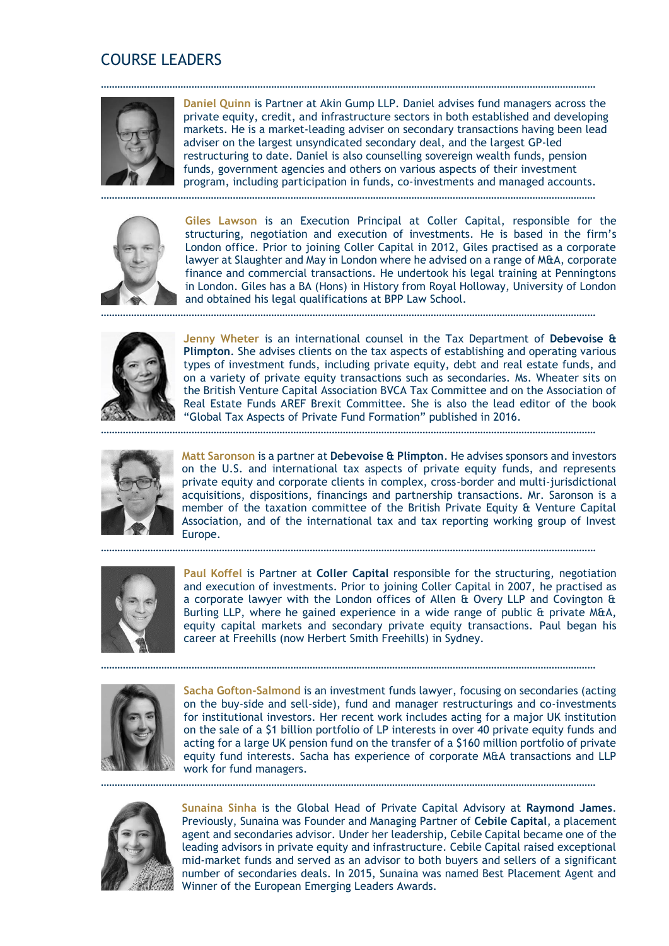## COURSE LEADERS



**Daniel Quinn** is Partner at Akin Gump LLP. Daniel advises fund managers across the private equity, credit, and infrastructure sectors in both established and developing markets. He is a market-leading adviser on secondary transactions having been lead adviser on the largest unsyndicated secondary deal, and the largest GP-led restructuring to date. Daniel is also counselling sovereign wealth funds, pension funds, government agencies and others on various aspects of their investment program, including participation in funds, co-investments and managed accounts.

………………………………………………………………………………………………………………………………………………………………

………………………………………………………………………………………………………………………………………………………………



**Giles Lawson** is an Execution Principal at Coller Capital, responsible for the structuring, negotiation and execution of investments. He is based in the firm's London office. Prior to joining Coller Capital in 2012, Giles practised as a corporate lawyer at Slaughter and May in London where he advised on a range of M&A, corporate finance and commercial transactions. He undertook his legal training at Penningtons in London. Giles has a BA (Hons) in History from Royal Holloway, University of London and obtained his legal qualifications at BPP Law School.



**Jenny Wheter** is an international counsel in the Tax Department of **Debevoise & Plimpton**. She advises clients on the tax aspects of establishing and operating various types of investment funds, including private equity, debt and real estate funds, and on a variety of private equity transactions such as secondaries. Ms. Wheater sits on the British Venture Capital Association BVCA Tax Committee and on the Association of Real Estate Funds AREF Brexit Committee. She is also the lead editor of the book "Global Tax Aspects of Private Fund Formation" published in 2016.



**Matt Saronson** is a partner at **Debevoise & Plimpton**. He advises sponsors and investors on the U.S. and international tax aspects of private equity funds, and represents private equity and corporate clients in complex, cross-border and multi-jurisdictional acquisitions, dispositions, financings and partnership transactions. Mr. Saronson is a member of the taxation committee of the British Private Equity & Venture Capital Association, and of the international tax and tax reporting working group of Invest Europe.

………………………………………………………………………………………………………………………………………………………………



**Paul Koffel** is Partner at **Coller Capital** responsible for the structuring, negotiation and execution of investments. Prior to joining Coller Capital in 2007, he practised as a corporate lawyer with the London offices of Allen & Overy LLP and Covington & Burling LLP, where he gained experience in a wide range of public & private M&A, equity capital markets and secondary private equity transactions. Paul began his career at Freehills (now Herbert Smith Freehills) in Sydney.

………………………………………………………………………………………………………………………………………………………………



**Sacha Gofton-Salmond** is an investment funds lawyer, focusing on secondaries (acting on the buy-side and sell-side), fund and manager restructurings and co-investments for institutional investors. Her recent work includes acting for a major UK institution on the sale of a \$1 billion portfolio of LP interests in over 40 private equity funds and acting for a large UK pension fund on the transfer of a \$160 million portfolio of private equity fund interests. Sacha has experience of corporate M&A transactions and LLP work for fund managers.

………………………………………………………………………………………………………………………………………………………………



**Sunaina Sinha** is the Global Head of Private Capital Advisory at **Raymond James**. Previously, Sunaina was Founder and Managing Partner of **Cebile Capital**, a placement agent and secondaries advisor. Under her leadership, Cebile Capital became one of the leading advisors in private equity and infrastructure. Cebile Capital raised exceptional mid-market funds and served as an advisor to both buyers and sellers of a significant number of secondaries deals. In 2015, Sunaina was named Best Placement Agent and Winner of the European Emerging Leaders Awards.